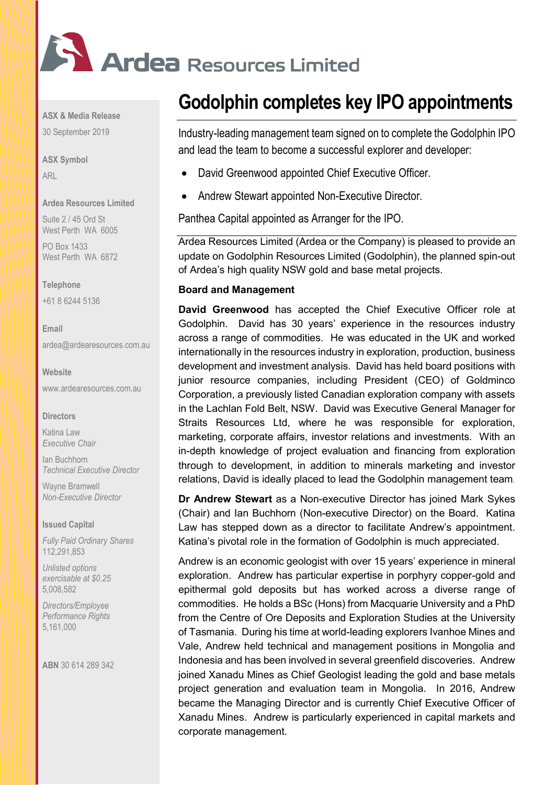

**ASX & Media Release**

30 September 2019

**ASX Symbol** ARL

## **Ardea Resources Limited**

Suite 2 / 45 Ord St West Perth WA 6005

PO Box 1433 West Perth WA 6872

## **Telephone**

+61 8 6244 5136

**Email** [ardea@ardearesources.com.au](mailto:ardea@ardearesources.com.au)

**Website**

[www.ardearesources.com.au](http://www.ardearesources.com.au/)

#### **Directors**

Katina Law *Executive Chair*

Ian Buchhorn *Technical Executive Director*

Wayne Bramwell *Non-Executive Director*

#### **Issued Capital**

*Fully Paid Ordinary Shares* 112,291,853

*Unlisted options exercisable at \$0.25* 5,008,582

*Directors/Employee Performance Rights* 5,161,000

**ABN** 30 614 289 342

# **Godolphin completes key IPO appointments**

Industry-leading management team signed on to complete the Godolphin IPO and lead the team to become a successful explorer and developer:

- David Greenwood appointed Chief Executive Officer.
- Andrew Stewart appointed Non-Executive Director.

Panthea Capital appointed as Arranger for the IPO.

Ardea Resources Limited (Ardea or the Company) is pleased to provide an update on Godolphin Resources Limited (Godolphin), the planned spin-out of Ardea's high quality NSW gold and base metal projects.

## **Board and Management**

**David Greenwood** has accepted the Chief Executive Officer role at Godolphin. David has 30 years' experience in the resources industry across a range of commodities. He was educated in the UK and worked internationally in the resources industry in exploration, production, business development and investment analysis. David has held board positions with junior resource companies, including President (CEO) of Goldminco Corporation, a previously listed Canadian exploration company with assets in the Lachlan Fold Belt, NSW. David was Executive General Manager for Straits Resources Ltd, where he was responsible for exploration, marketing, corporate affairs, investor relations and investments. With an in-depth knowledge of project evaluation and financing from exploration through to development, in addition to minerals marketing and investor relations, David is ideally placed to lead the Godolphin management team*.*

**Dr Andrew Stewart** as a Non-executive Director has joined Mark Sykes (Chair) and Ian Buchhorn (Non-executive Director) on the Board. Katina Law has stepped down as a director to facilitate Andrew's appointment. Katina's pivotal role in the formation of Godolphin is much appreciated.

Andrew is an economic geologist with over 15 years' experience in mineral exploration. Andrew has particular expertise in porphyry copper-gold and epithermal gold deposits but has worked across a diverse range of commodities. He holds a BSc (Hons) from Macquarie University and a PhD from the Centre of Ore Deposits and Exploration Studies at the University of Tasmania. During his time at world-leading explorers Ivanhoe Mines and Vale, Andrew held technical and management positions in Mongolia and Indonesia and has been involved in several greenfield discoveries. Andrew joined Xanadu Mines as Chief Geologist leading the gold and base metals project generation and evaluation team in Mongolia. In 2016, Andrew became the Managing Director and is currently Chief Executive Officer of Xanadu Mines. Andrew is particularly experienced in capital markets and corporate management.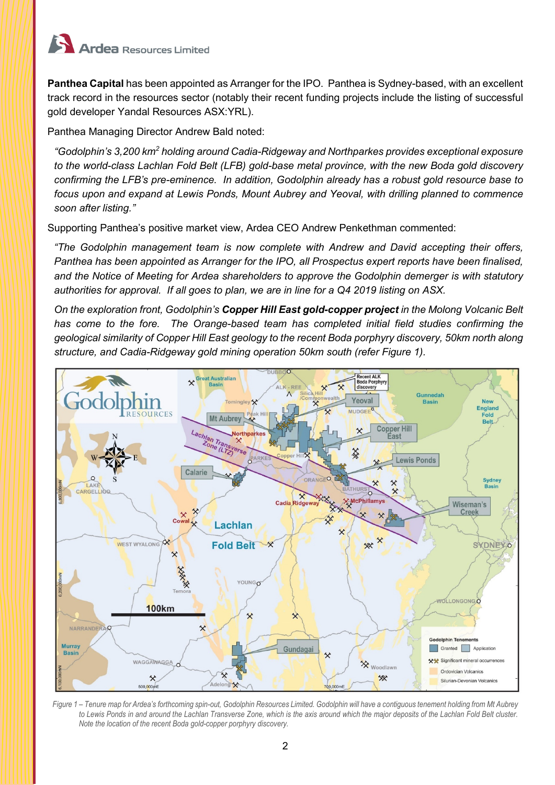

**Panthea Capital** has been appointed as Arranger for the IPO. Panthea is Sydney-based, with an excellent track record in the resources sector (notably their recent funding projects include the listing of successful gold developer Yandal Resources ASX:YRL).

Panthea Managing Director Andrew Bald noted:

*"Godolphin's 3,200 km<sup>2</sup> holding around Cadia-Ridgeway and Northparkes provides exceptional exposure to the world-class Lachlan Fold Belt (LFB) gold-base metal province, with the new Boda gold discovery confirming the LFB's pre-eminence. In addition, Godolphin already has a robust gold resource base to focus upon and expand at Lewis Ponds, Mount Aubrey and Yeoval, with drilling planned to commence soon after listing."* 

Supporting Panthea's positive market view, Ardea CEO Andrew Penkethman commented:

*"The Godolphin management team is now complete with Andrew and David accepting their offers, Panthea has been appointed as Arranger for the IPO, all Prospectus expert reports have been finalised, and the Notice of Meeting for Ardea shareholders to approve the Godolphin demerger is with statutory authorities for approval. If all goes to plan, we are in line for a Q4 2019 listing on ASX.*

*On the exploration front, Godolphin's Copper Hill East gold-copper project in the Molong Volcanic Belt has come to the fore. The Orange-based team has completed initial field studies confirming the geological similarity of Copper Hill East geology to the recent Boda porphyry discovery, 50km north along structure, and Cadia-Ridgeway gold mining operation 50km south (refer Figure 1).*



*Figure 1 – Tenure map for Ardea's forthcoming spin-out, Godolphin Resources Limited. Godolphin will have a contiguous tenement holding from Mt Aubrey to Lewis Ponds in and around the Lachlan Transverse Zone, which is the axis around which the major deposits of the Lachlan Fold Belt cluster. Note the location of the recent Boda gold-copper porphyry discovery.*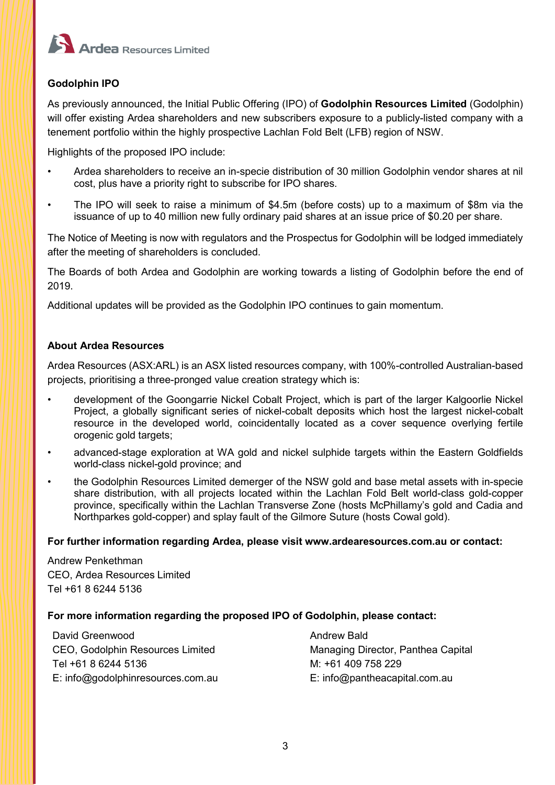

# **Godolphin IPO**

As previously announced, the Initial Public Offering (IPO) of **Godolphin Resources Limited** (Godolphin) will offer existing Ardea shareholders and new subscribers exposure to a publicly-listed company with a tenement portfolio within the highly prospective Lachlan Fold Belt (LFB) region of NSW.

Highlights of the proposed IPO include:

- Ardea shareholders to receive an in-specie distribution of 30 million Godolphin vendor shares at nil cost, plus have a priority right to subscribe for IPO shares.
- The IPO will seek to raise a minimum of \$4.5m (before costs) up to a maximum of \$8m via the issuance of up to 40 million new fully ordinary paid shares at an issue price of \$0.20 per share.

The Notice of Meeting is now with regulators and the Prospectus for Godolphin will be lodged immediately after the meeting of shareholders is concluded.

The Boards of both Ardea and Godolphin are working towards a listing of Godolphin before the end of 2019.

Additional updates will be provided as the Godolphin IPO continues to gain momentum.

# **About Ardea Resources**

Ardea Resources (ASX:ARL) is an ASX listed resources company, with 100%-controlled Australian-based projects, prioritising a three-pronged value creation strategy which is:

- development of the Goongarrie Nickel Cobalt Project, which is part of the larger Kalgoorlie Nickel Project, a globally significant series of nickel-cobalt deposits which host the largest nickel-cobalt resource in the developed world, coincidentally located as a cover sequence overlying fertile orogenic gold targets;
- advanced-stage exploration at WA gold and nickel sulphide targets within the Eastern Goldfields world-class nickel-gold province; and
- the Godolphin Resources Limited demerger of the NSW gold and base metal assets with in-specie share distribution, with all projects located within the Lachlan Fold Belt world-class gold-copper province, specifically within the Lachlan Transverse Zone (hosts McPhillamy's gold and Cadia and Northparkes gold-copper) and splay fault of the Gilmore Suture (hosts Cowal gold).

## **For further information regarding Ardea, please visit www.ardearesources.com.au or contact:**

Andrew Penkethman CEO, Ardea Resources Limited Tel +61 8 6244 5136

## **For more information regarding the proposed IPO of Godolphin, please contact:**

David Greenwood Andrew Bald CEO, Godolphin Resources Limited Managing Director, Panthea Capital Tel +61 8 6244 5136 M: +61 409 758 229 E: info@godolphinresources.com.au E: info@pantheacapital.com.au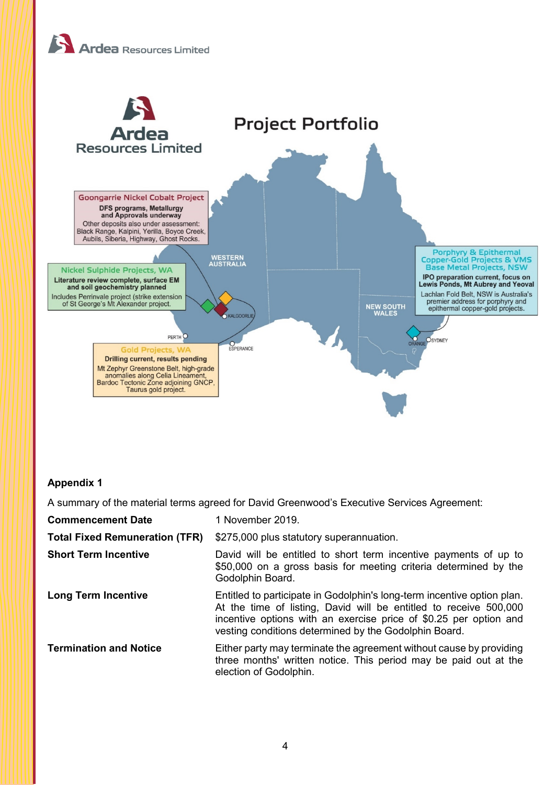



# **Appendix 1**

A summary of the material terms agreed for David Greenwood's Executive Services Agreement:

| <b>Commencement Date</b>              | 1 November 2019.                                                                                                                                                                                                                                                           |
|---------------------------------------|----------------------------------------------------------------------------------------------------------------------------------------------------------------------------------------------------------------------------------------------------------------------------|
| <b>Total Fixed Remuneration (TFR)</b> | \$275,000 plus statutory superannuation.                                                                                                                                                                                                                                   |
| <b>Short Term Incentive</b>           | David will be entitled to short term incentive payments of up to<br>\$50,000 on a gross basis for meeting criteria determined by the<br>Godolphin Board.                                                                                                                   |
| <b>Long Term Incentive</b>            | Entitled to participate in Godolphin's long-term incentive option plan.<br>At the time of listing, David will be entitled to receive 500,000<br>incentive options with an exercise price of \$0.25 per option and<br>vesting conditions determined by the Godolphin Board. |
| <b>Termination and Notice</b>         | Either party may terminate the agreement without cause by providing<br>three months' written notice. This period may be paid out at the<br>election of Godolphin.                                                                                                          |